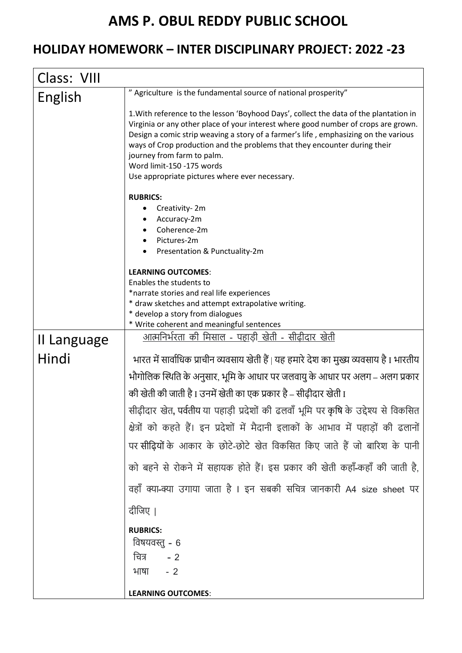## **AMS P. OBUL REDDY PUBLIC SCHOOL**

## **HOLIDAY HOMEWORK – INTER DISCIPLINARY PROJECT: 2022 -23**

| Class: VIII |                                                                                                                                                                                                                                                                                                                                                                                                                                                              |
|-------------|--------------------------------------------------------------------------------------------------------------------------------------------------------------------------------------------------------------------------------------------------------------------------------------------------------------------------------------------------------------------------------------------------------------------------------------------------------------|
| English     | " Agriculture is the fundamental source of national prosperity"                                                                                                                                                                                                                                                                                                                                                                                              |
|             | 1. With reference to the lesson 'Boyhood Days', collect the data of the plantation in<br>Virginia or any other place of your interest where good number of crops are grown.<br>Design a comic strip weaving a story of a farmer's life, emphasizing on the various<br>ways of Crop production and the problems that they encounter during their<br>journey from farm to palm.<br>Word limit-150 -175 words<br>Use appropriate pictures where ever necessary. |
|             | <b>RUBRICS:</b>                                                                                                                                                                                                                                                                                                                                                                                                                                              |
|             | Creativity-2m                                                                                                                                                                                                                                                                                                                                                                                                                                                |
|             | Accuracy-2m<br>Coherence-2m                                                                                                                                                                                                                                                                                                                                                                                                                                  |
|             | Pictures-2m                                                                                                                                                                                                                                                                                                                                                                                                                                                  |
|             | Presentation & Punctuality-2m                                                                                                                                                                                                                                                                                                                                                                                                                                |
|             | <b>LEARNING OUTCOMES:</b>                                                                                                                                                                                                                                                                                                                                                                                                                                    |
|             | Enables the students to<br>*narrate stories and real life experiences                                                                                                                                                                                                                                                                                                                                                                                        |
|             | * draw sketches and attempt extrapolative writing.                                                                                                                                                                                                                                                                                                                                                                                                           |
|             | * develop a story from dialogues<br>* Write coherent and meaningful sentences                                                                                                                                                                                                                                                                                                                                                                                |
| II Language | <u>आत्मनिर्भरता की मिसाल - पहाड़ी खेती - सीढीदार खेती</u>                                                                                                                                                                                                                                                                                                                                                                                                    |
|             |                                                                                                                                                                                                                                                                                                                                                                                                                                                              |
| Hindi       | भारत में सार्वाधिक प्राचीन व्यवसाय खेती हैं   यह हमारे देश का मुख्य व्यवसाय है I भारतीय                                                                                                                                                                                                                                                                                                                                                                      |
|             | भौगोलिक स्थिति के अनुसार, भूमि के आधार पर जलवायु के आधार पर अलग – अलग प्रकार                                                                                                                                                                                                                                                                                                                                                                                 |
|             | की खेती की जाती है I उनमें खेती का एक प्रकार है – सीढ़ीदार खेती I                                                                                                                                                                                                                                                                                                                                                                                            |
|             | सीढ़ीदार खेत, पर्वतीय या पहाड़ी प्रदेशों की ढलवाँ भूमि पर कृषि के उद्देश्य से विकसित                                                                                                                                                                                                                                                                                                                                                                         |
|             | क्षेत्रों को कहते हैं। इन प्रदेशों में मैदानी इलाकों के आभाव में पहाड़ों की ढलानों                                                                                                                                                                                                                                                                                                                                                                           |
|             | पर सीढ़ियों के आकार के छोटे-छोटे खेत विकसित किए जाते हैं जो बारिश के पानी                                                                                                                                                                                                                                                                                                                                                                                    |
|             | को बहने से रोकने में सहायक होते हैं। इस प्रकार की खेती कहाँ-कहाँ की जाती है,                                                                                                                                                                                                                                                                                                                                                                                 |
|             | वहाँ क्या-क्या उगाया जाता है । इन सबकी सचित्र जानकारी A4 size sheet पर                                                                                                                                                                                                                                                                                                                                                                                       |
|             | दीजिए ।                                                                                                                                                                                                                                                                                                                                                                                                                                                      |
|             | <b>RUBRICS:</b>                                                                                                                                                                                                                                                                                                                                                                                                                                              |
|             | विषयवस्तु - 6                                                                                                                                                                                                                                                                                                                                                                                                                                                |
|             | चित्र<br>$-2$                                                                                                                                                                                                                                                                                                                                                                                                                                                |
|             | भाषा<br>$-2$                                                                                                                                                                                                                                                                                                                                                                                                                                                 |
|             | <b>LEARNING OUTCOMES:</b>                                                                                                                                                                                                                                                                                                                                                                                                                                    |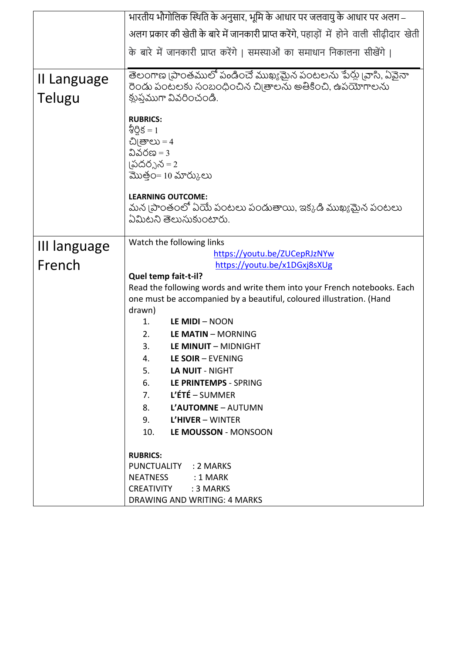|                       | भारतीय भौगोलिक स्थिति के अनुसार, भूमि के आधार पर जलवायु के आधार पर अलग –                                                                                                                                       |
|-----------------------|----------------------------------------------------------------------------------------------------------------------------------------------------------------------------------------------------------------|
|                       | अलग प्रकार की खेती के बारे में जानकारी प्राप्त करेंगे, पहाड़ों में होने वाली सीढ़ीदार खेती                                                                                                                     |
|                       | के बारे में जानकारी प्राप्त करेंगे   समस्याओं का समाधान निकालना सीखेंगे                                                                                                                                        |
|                       |                                                                                                                                                                                                                |
| II Language<br>Telugu | తెలంగాణ (పాంతములో పండించే ముఖ్యమైన పంటలను పేర్లు (వాసి, ఏవైనా<br>రెండు పంటలకు సంబంధించిన చి[తాలను అతీకించి, ఉపయోగాలను<br>క్లుప్తముగా వివరించండి.                                                               |
|                       | <b>RUBRICS:</b><br>నీర్షిక $=1$<br>చిౖు = 4<br>వివరణ $=$ 3<br>(పదర్నన = 2<br>మొత్తం= 10 మార్కులు<br><b>LEARNING OUTCOME:</b><br>మన (పాంతంలో ఏయే పంటలు పండుతాయి, ఇక్కడి ముఖ్యమైన పంటలు<br>ఏమిటని తెలుసుకుంటారు. |
| III language          | Watch the following links                                                                                                                                                                                      |
|                       | https://youtu.be/ZUCepRJzNYw                                                                                                                                                                                   |
| French                | https://youtu.be/x1DGxj8sXUg                                                                                                                                                                                   |
|                       | Quel temp fait-t-il?                                                                                                                                                                                           |
|                       | Read the following words and write them into your French notebooks. Each                                                                                                                                       |
|                       | one must be accompanied by a beautiful, coloured illustration. (Hand                                                                                                                                           |
|                       | drawn)                                                                                                                                                                                                         |
|                       | LE MIDI - NOON<br>1.                                                                                                                                                                                           |
|                       | 2.<br>LE MATIN - MORNING                                                                                                                                                                                       |
|                       | 3.<br>LE MINUIT - MIDNIGHT                                                                                                                                                                                     |
|                       | LE SOIR - EVENING<br>4.                                                                                                                                                                                        |
|                       | 5.<br><b>LA NUIT - NIGHT</b>                                                                                                                                                                                   |
|                       | 6.<br>LE PRINTEMPS - SPRING                                                                                                                                                                                    |
|                       | <b>L'ÉTÉ</b> – SUMMER<br>$7_{\cdot}$                                                                                                                                                                           |
|                       | L'AUTOMNE - AUTUMN<br>8.                                                                                                                                                                                       |
|                       | $L'HIVER - WINTER$<br>9.                                                                                                                                                                                       |
|                       | 10.<br>LE MOUSSON - MONSOON                                                                                                                                                                                    |
|                       |                                                                                                                                                                                                                |
|                       | <b>RUBRICS:</b><br>PUNCTUALITY : 2 MARKS                                                                                                                                                                       |
|                       | NEATNESS : 1 MARK                                                                                                                                                                                              |
|                       | CREATIVITY<br>:3 MARKS                                                                                                                                                                                         |
|                       | DRAWING AND WRITING: 4 MARKS                                                                                                                                                                                   |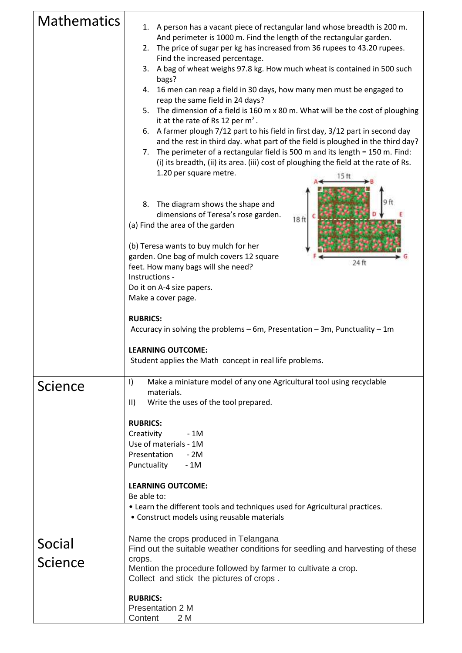| <b>Mathematics</b> | 1. A person has a vacant piece of rectangular land whose breadth is 200 m.<br>And perimeter is 1000 m. Find the length of the rectangular garden.<br>2. The price of sugar per kg has increased from 36 rupees to 43.20 rupees.<br>Find the increased percentage.<br>A bag of wheat weighs 97.8 kg. How much wheat is contained in 500 such<br>3.<br>bags?<br>16 men can reap a field in 30 days, how many men must be engaged to<br>4.<br>reap the same field in 24 days?<br>5. The dimension of a field is 160 m x 80 m. What will be the cost of ploughing<br>it at the rate of Rs 12 per $m2$ .<br>6. A farmer plough 7/12 part to his field in first day, 3/12 part in second day<br>and the rest in third day. what part of the field is ploughed in the third day?<br>The perimeter of a rectangular field is 500 m and its length = 150 m. Find:<br>7.<br>(i) its breadth, (ii) its area. (iii) cost of ploughing the field at the rate of Rs.<br>1.20 per square metre.<br>15 ft<br>8. The diagram shows the shape and<br>dimensions of Teresa's rose garden.<br>18 ft<br>(a) Find the area of the garden<br>(b) Teresa wants to buy mulch for her<br>garden. One bag of mulch covers 12 square<br>24 ft<br>feet. How many bags will she need? |
|--------------------|---------------------------------------------------------------------------------------------------------------------------------------------------------------------------------------------------------------------------------------------------------------------------------------------------------------------------------------------------------------------------------------------------------------------------------------------------------------------------------------------------------------------------------------------------------------------------------------------------------------------------------------------------------------------------------------------------------------------------------------------------------------------------------------------------------------------------------------------------------------------------------------------------------------------------------------------------------------------------------------------------------------------------------------------------------------------------------------------------------------------------------------------------------------------------------------------------------------------------------------------------------|
|                    | Instructions -<br>Do it on A-4 size papers.                                                                                                                                                                                                                                                                                                                                                                                                                                                                                                                                                                                                                                                                                                                                                                                                                                                                                                                                                                                                                                                                                                                                                                                                             |
|                    | Make a cover page.                                                                                                                                                                                                                                                                                                                                                                                                                                                                                                                                                                                                                                                                                                                                                                                                                                                                                                                                                                                                                                                                                                                                                                                                                                      |
|                    | <b>RUBRICS:</b><br>Accuracy in solving the problems - 6m, Presentation - 3m, Punctuality - 1m                                                                                                                                                                                                                                                                                                                                                                                                                                                                                                                                                                                                                                                                                                                                                                                                                                                                                                                                                                                                                                                                                                                                                           |
|                    | <b>LEARNING OUTCOME:</b><br>Student applies the Math concept in real life problems.                                                                                                                                                                                                                                                                                                                                                                                                                                                                                                                                                                                                                                                                                                                                                                                                                                                                                                                                                                                                                                                                                                                                                                     |
| Science            | Make a miniature model of any one Agricultural tool using recyclable<br>$\vert$<br>materials.<br>Write the uses of the tool prepared.<br>$\parallel$                                                                                                                                                                                                                                                                                                                                                                                                                                                                                                                                                                                                                                                                                                                                                                                                                                                                                                                                                                                                                                                                                                    |
|                    | <b>RUBRICS:</b><br>Creativity<br>$-1M$<br>Use of materials - 1M<br>Presentation<br>$-2M$<br>Punctuality<br>- 1M                                                                                                                                                                                                                                                                                                                                                                                                                                                                                                                                                                                                                                                                                                                                                                                                                                                                                                                                                                                                                                                                                                                                         |
|                    | <b>LEARNING OUTCOME:</b><br>Be able to:<br>• Learn the different tools and techniques used for Agricultural practices.<br>• Construct models using reusable materials                                                                                                                                                                                                                                                                                                                                                                                                                                                                                                                                                                                                                                                                                                                                                                                                                                                                                                                                                                                                                                                                                   |
| Social             | Name the crops produced in Telangana<br>Find out the suitable weather conditions for seedling and harvesting of these                                                                                                                                                                                                                                                                                                                                                                                                                                                                                                                                                                                                                                                                                                                                                                                                                                                                                                                                                                                                                                                                                                                                   |
| Science            | crops.<br>Mention the procedure followed by farmer to cultivate a crop.<br>Collect and stick the pictures of crops.                                                                                                                                                                                                                                                                                                                                                                                                                                                                                                                                                                                                                                                                                                                                                                                                                                                                                                                                                                                                                                                                                                                                     |
|                    | <b>RUBRICS:</b><br>Presentation 2 M<br>Content<br>2 M                                                                                                                                                                                                                                                                                                                                                                                                                                                                                                                                                                                                                                                                                                                                                                                                                                                                                                                                                                                                                                                                                                                                                                                                   |